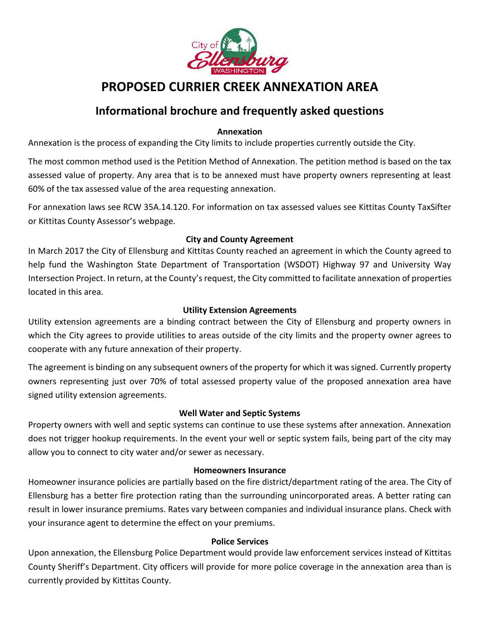

# **PROPOSED CURRIER CREEK ANNEXATION AREA**

## **Informational brochure and frequently asked questions**

#### **Annexation**

Annexation is the process of expanding the City limits to include properties currently outside the City.

The most common method used is the Petition Method of Annexation. The petition method is based on the tax assessed value of property. Any area that is to be annexed must have property owners representing at least 60% of the tax assessed value of the area requesting annexation.

For annexation laws see RCW 35A.14.120. For information on tax assessed values see Kittitas County TaxSifter or Kittitas County Assessor's webpage.

### **City and County Agreement**

In March 2017 the City of Ellensburg and Kittitas County reached an agreement in which the County agreed to help fund the Washington State Department of Transportation (WSDOT) Highway 97 and University Way Intersection Project. In return, at the County's request, the City committed to facilitate annexation of properties located in this area.

#### **Utility Extension Agreements**

Utility extension agreements are a binding contract between the City of Ellensburg and property owners in which the City agrees to provide utilities to areas outside of the city limits and the property owner agrees to cooperate with any future annexation of their property.

The agreement is binding on any subsequent owners of the property for which it was signed. Currently property owners representing just over 70% of total assessed property value of the proposed annexation area have signed utility extension agreements.

#### **Well Water and Septic Systems**

Property owners with well and septic systems can continue to use these systems after annexation. Annexation does not trigger hookup requirements. In the event your well or septic system fails, being part of the city may allow you to connect to city water and/or sewer as necessary.

#### **Homeowners Insurance**

Homeowner insurance policies are partially based on the fire district/department rating of the area. The City of Ellensburg has a better fire protection rating than the surrounding unincorporated areas. A better rating can result in lower insurance premiums. Rates vary between companies and individual insurance plans. Check with your insurance agent to determine the effect on your premiums.

#### **Police Services**

Upon annexation, the Ellensburg Police Department would provide law enforcement services instead of Kittitas County Sheriff's Department. City officers will provide for more police coverage in the annexation area than is currently provided by Kittitas County.